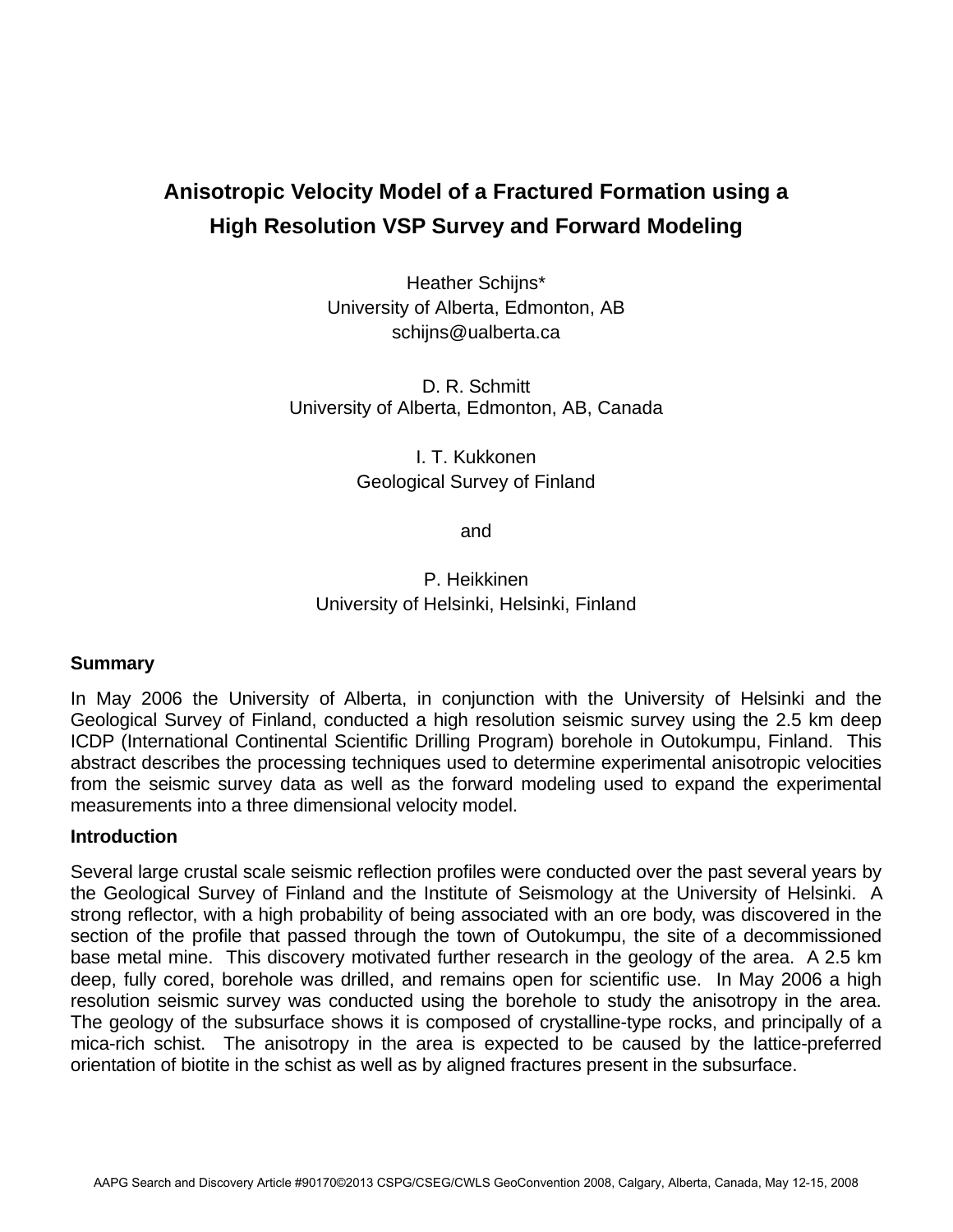# **Anisotropic Velocity Model of a Fractured Formation using a High Resolution VSP Survey and Forward Modeling**

Heather Schijns\* University of Alberta, Edmonton, AB schijns@ualberta.ca

D. R. Schmitt University of Alberta, Edmonton, AB, Canada

> I. T. Kukkonen Geological Survey of Finland

> > and

# P. Heikkinen University of Helsinki, Helsinki, Finland

## **Summary**

In May 2006 the University of Alberta, in conjunction with the University of Helsinki and the Geological Survey of Finland, conducted a high resolution seismic survey using the 2.5 km deep ICDP (International Continental Scientific Drilling Program) borehole in Outokumpu, Finland. This abstract describes the processing techniques used to determine experimental anisotropic velocities from the seismic survey data as well as the forward modeling used to expand the experimental measurements into a three dimensional velocity model.

#### **Introduction**

Several large crustal scale seismic reflection profiles were conducted over the past several years by the Geological Survey of Finland and the Institute of Seismology at the University of Helsinki. A strong reflector, with a high probability of being associated with an ore body, was discovered in the section of the profile that passed through the town of Outokumpu, the site of a decommissioned base metal mine. This discovery motivated further research in the geology of the area. A 2.5 km deep, fully cored, borehole was drilled, and remains open for scientific use. In May 2006 a high resolution seismic survey was conducted using the borehole to study the anisotropy in the area. The geology of the subsurface shows it is composed of crystalline-type rocks, and principally of a mica-rich schist. The anisotropy in the area is expected to be caused by the lattice-preferred orientation of biotite in the schist as well as by aligned fractures present in the subsurface.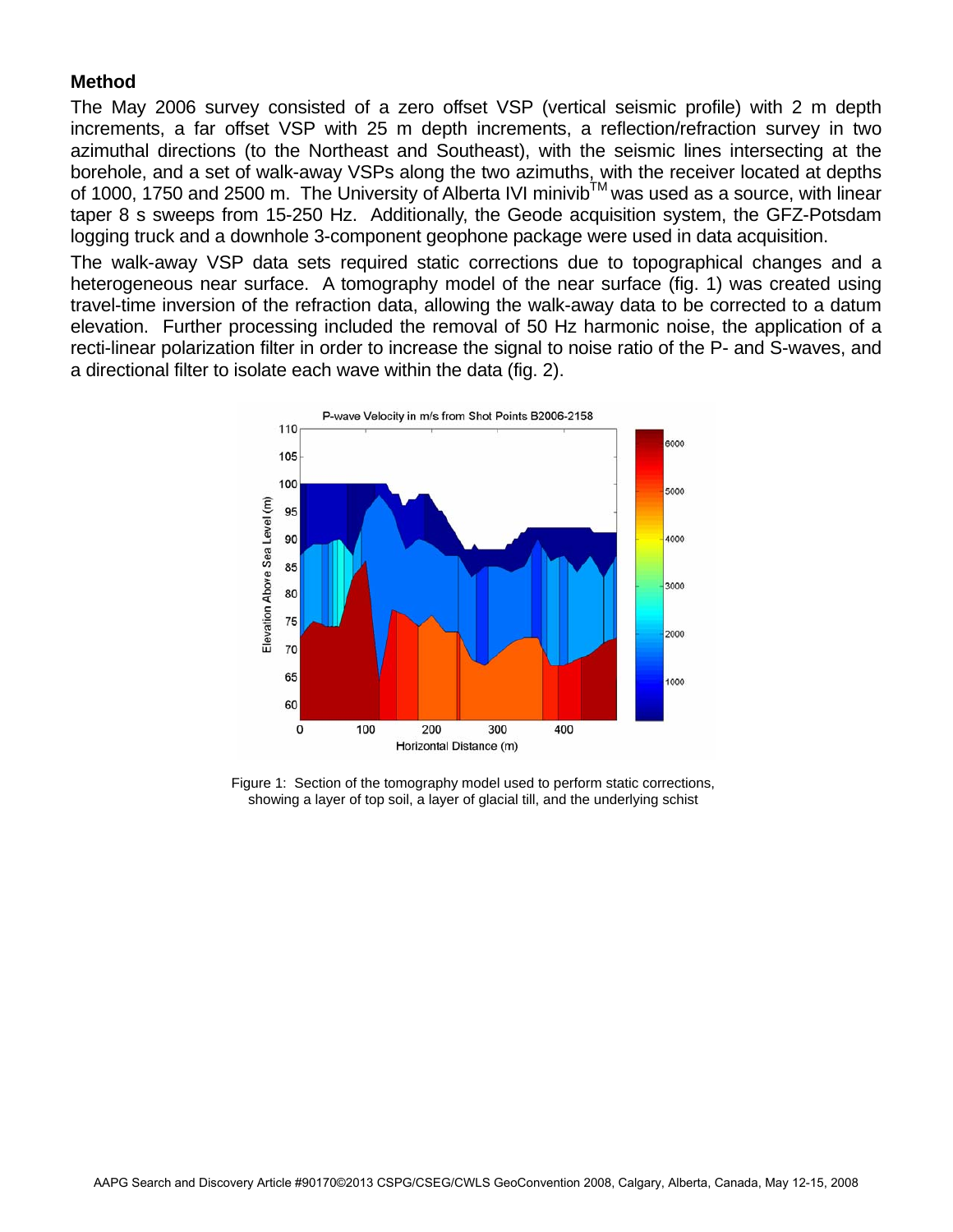## **Method**

The May 2006 survey consisted of a zero offset VSP (vertical seismic profile) with 2 m depth increments, a far offset VSP with 25 m depth increments, a reflection/refraction survey in two azimuthal directions (to the Northeast and Southeast), with the seismic lines intersecting at the borehole, and a set of walk-away VSPs along the two azimuths, with the receiver located at depths of 1000, 1750 and 2500 m. The University of Alberta IVI minivib TM was used as a source, with linear taper 8 s sweeps from 15-250 Hz. Additionally, the Geode acquisition system, the GFZ-Potsdam logging truck and a downhole 3-component geophone package were used in data acquisition.

The walk-away VSP data sets required static corrections due to topographical changes and a heterogeneous near surface. A tomography model of the near surface (fig. 1) was created using travel-time inversion of the refraction data, allowing the walk-away data to be corrected to a datum elevation. Further processing included the removal of 50 Hz harmonic noise, the application of a recti-linear polarization filter in order to increase the signal to noise ratio of the P- and S-waves, and a directional filter to isolate each wave within the data (fig. 2).



Figure 1: Section of the tomography model used to perform static corrections, showing a layer of top soil, a layer of glacial till, and the underlying schist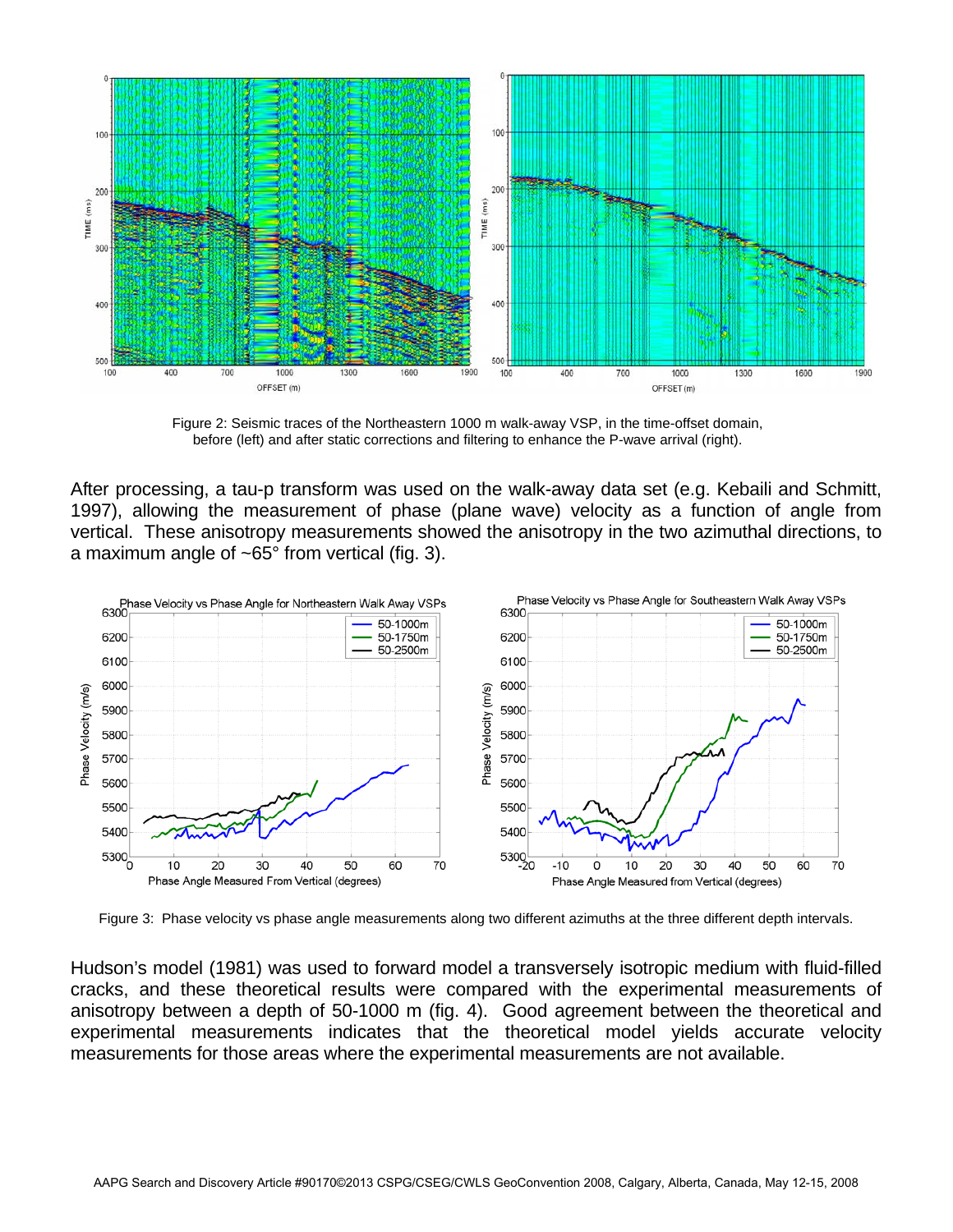

Figure 2: Seismic traces of the Northeastern 1000 m walk-away VSP, in the time-offset domain, before (left) and after static corrections and filtering to enhance the P-wave arrival (right).

After processing, a tau-p transform was used on the walk-away data set (e.g. Kebaili and Schmitt, 1997), allowing the measurement of phase (plane wave) velocity as a function of angle from vertical. These anisotropy measurements showed the anisotropy in the two azimuthal directions, to a maximum angle of ~65° from vertical (fig. 3).



Figure 3: Phase velocity vs phase angle measurements along two different azimuths at the three different depth intervals.

Hudson's model (1981) was used to forward model a transversely isotropic medium with fluid-filled cracks, and these theoretical results were compared with the experimental measurements of anisotropy between a depth of 50-1000 m (fig. 4). Good agreement between the theoretical and experimental measurements indicates that the theoretical model yields accurate velocity measurements for those areas where the experimental measurements are not available.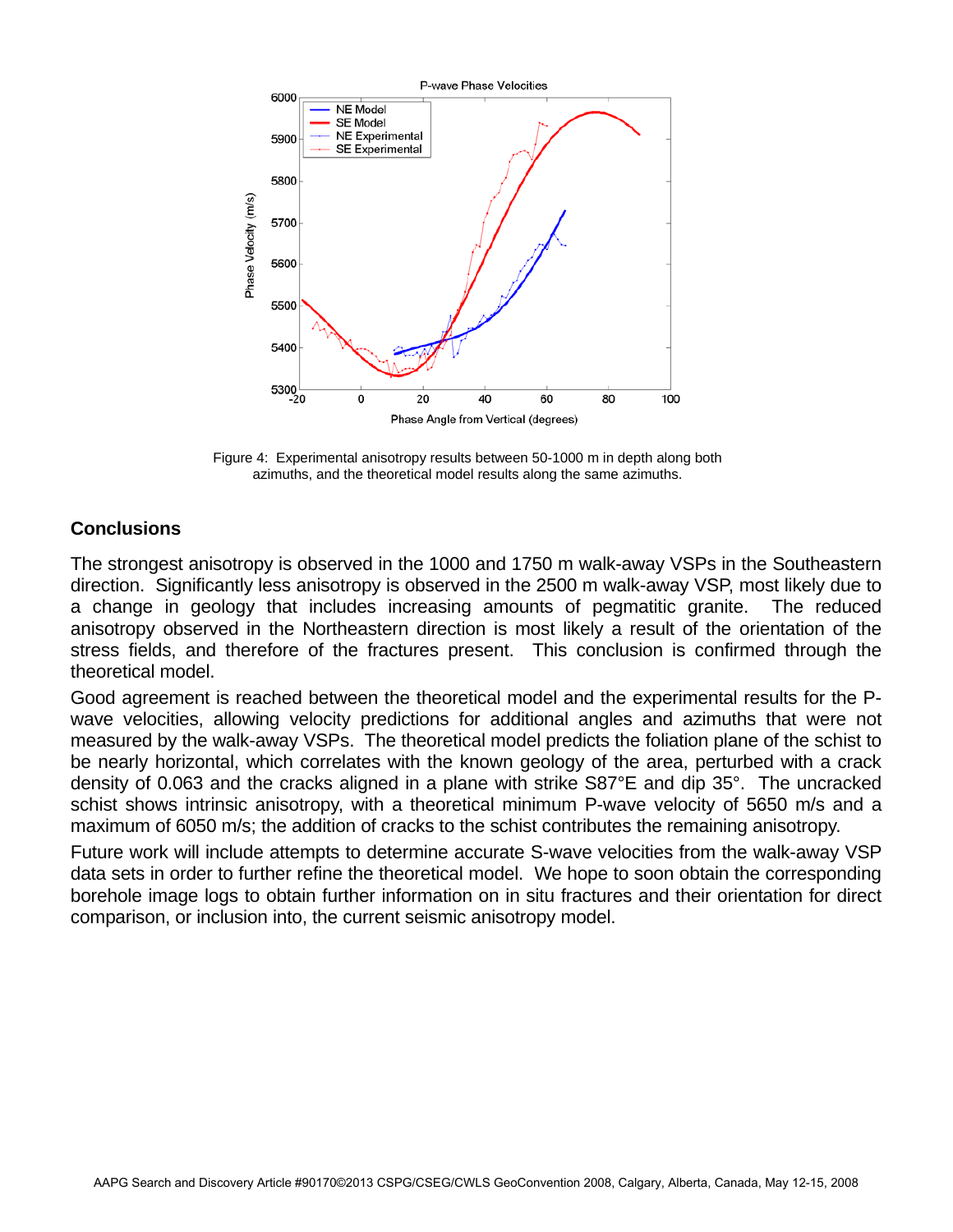

Figure 4: Experimental anisotropy results between 50-1000 m in depth along both azimuths, and the theoretical model results along the same azimuths.

## **Conclusions**

The strongest anisotropy is observed in the 1000 and 1750 m walk-away VSPs in the Southeastern direction. Significantly less anisotropy is observed in the 2500 m walk-away VSP, most likely due to a change in geology that includes increasing amounts of pegmatitic granite. The reduced anisotropy observed in the Northeastern direction is most likely a result of the orientation of the stress fields, and therefore of the fractures present. This conclusion is confirmed through the theoretical model.

Good agreement is reached between the theoretical model and the experimental results for the Pwave velocities, allowing velocity predictions for additional angles and azimuths that were not measured by the walk-away VSPs. The theoretical model predicts the foliation plane of the schist to be nearly horizontal, which correlates with the known geology of the area, perturbed with a crack density of 0.063 and the cracks aligned in a plane with strike S87°E and dip 35°. The uncracked schist shows intrinsic anisotropy, with a theoretical minimum P-wave velocity of 5650 m/s and a maximum of 6050 m/s; the addition of cracks to the schist contributes the remaining anisotropy.

Future work will include attempts to determine accurate S-wave velocities from the walk-away VSP data sets in order to further refine the theoretical model. We hope to soon obtain the corresponding borehole image logs to obtain further information on in situ fractures and their orientation for direct comparison, or inclusion into, the current seismic anisotropy model.